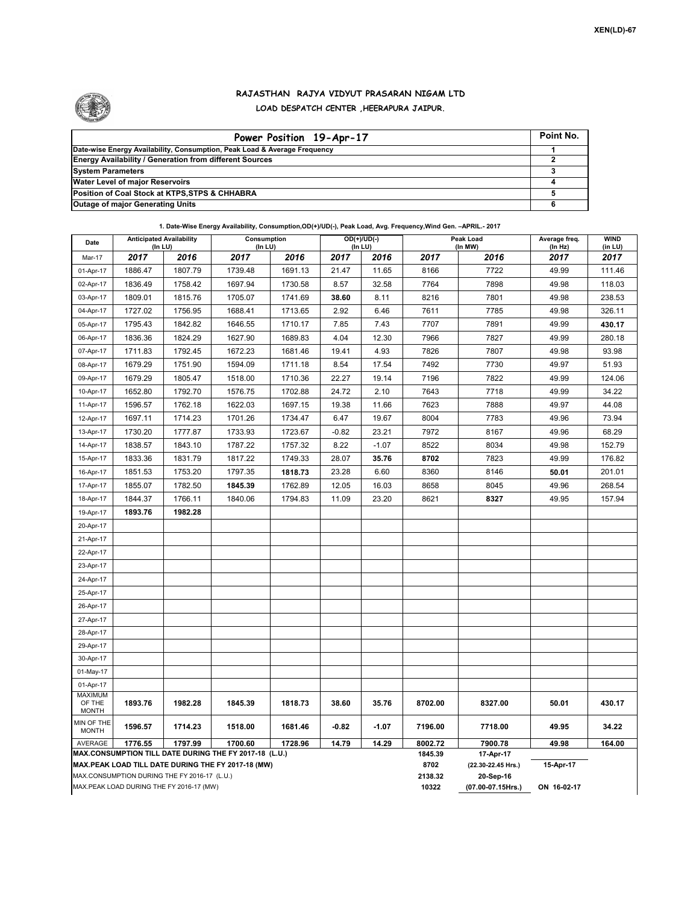

## **RAJASTHAN RAJYA VIDYUT PRASARAN NIGAM LTD LOAD DESPATCH CENTER ,HEERAPURA JAIPUR.**

| Power Position 19-Apr-17                                                  | Point No. |
|---------------------------------------------------------------------------|-----------|
| Date-wise Energy Availability, Consumption, Peak Load & Average Frequency |           |
| <b>Energy Availability / Generation from different Sources</b>            |           |
| <b>System Parameters</b>                                                  |           |
| <b>Water Level of major Reservoirs</b>                                    |           |
| Position of Coal Stock at KTPS, STPS & CHHABRA                            |           |
| <b>Outage of major Generating Units</b>                                   |           |

**1. Date-Wise Energy Availability, Consumption,OD(+)/UD(-), Peak Load, Avg. Frequency,Wind Gen. –APRIL.- 2017**

| Date                                                                                                         | <b>Anticipated Availability</b><br>(In LU)   |         | Consumption<br>$($ In LU $)$ |         | $OD(+)/UD(-)$<br>(In LU) |                                 |                    | Peak Load<br>(In MW) | Average freq.<br>(In Hz) | <b>WIND</b><br>(in LU) |  |  |
|--------------------------------------------------------------------------------------------------------------|----------------------------------------------|---------|------------------------------|---------|--------------------------|---------------------------------|--------------------|----------------------|--------------------------|------------------------|--|--|
| Mar-17                                                                                                       | 2017                                         | 2016    | 2017                         | 2016    | 2017                     | 2016                            | 2017               | 2016                 | 2017                     | 2017                   |  |  |
| 01-Apr-17                                                                                                    | 1886.47                                      | 1807.79 | 1739.48                      | 1691.13 | 21.47                    | 11.65                           | 8166               | 7722                 | 49.99                    | 111.46                 |  |  |
| 02-Apr-17                                                                                                    | 1836.49                                      | 1758.42 | 1697.94                      | 1730.58 | 8.57                     | 32.58                           | 7764               | 7898                 | 49.98                    | 118.03                 |  |  |
| 03-Apr-17                                                                                                    | 1809.01                                      | 1815.76 | 1705.07                      | 1741.69 | 38.60                    | 8.11                            | 8216               | 7801                 | 49.98                    | 238.53                 |  |  |
| 04-Apr-17                                                                                                    | 1727.02                                      | 1756.95 | 1688.41                      | 1713.65 | 2.92                     | 6.46                            | 7611               | 7785                 | 49.98                    | 326.11                 |  |  |
| 05-Apr-17                                                                                                    | 1795.43                                      | 1842.82 | 1646.55                      | 1710.17 | 7.85                     | 7.43                            | 7707               | 7891                 | 49.99                    | 430.17                 |  |  |
| 06-Apr-17                                                                                                    | 1836.36                                      | 1824.29 | 1627.90                      | 1689.83 | 4.04                     | 12.30                           | 7966               | 7827                 | 49.99                    | 280.18                 |  |  |
| 07-Apr-17                                                                                                    | 1711.83                                      | 1792.45 | 1672.23                      | 1681.46 | 19.41                    | 4.93                            | 7826               | 7807                 | 49.98                    | 93.98                  |  |  |
| 08-Apr-17                                                                                                    | 1679.29                                      | 1751.90 | 1594.09                      | 1711.18 | 8.54                     | 17.54                           | 7492               | 7730                 | 49.97                    | 51.93                  |  |  |
| 09-Apr-17                                                                                                    | 1679.29                                      | 1805.47 | 1518.00                      | 1710.36 | 22.27                    | 19.14                           | 7196               | 7822                 | 49.99                    | 124.06                 |  |  |
| 10-Apr-17                                                                                                    | 1652.80                                      | 1792.70 | 1576.75                      | 1702.88 | 24.72                    | 2.10                            | 7643               | 7718                 | 49.99                    | 34.22                  |  |  |
| 11-Apr-17                                                                                                    | 1596.57                                      | 1762.18 | 1622.03                      | 1697.15 | 19.38                    | 11.66                           | 7623               | 7888                 | 49.97                    | 44.08                  |  |  |
| 12-Apr-17                                                                                                    | 1697.11                                      | 1714.23 | 1701.26                      | 1734.47 | 6.47                     | 19.67                           | 8004               | 7783                 | 49.96                    | 73.94                  |  |  |
| 13-Apr-17                                                                                                    | 1730.20                                      | 1777.87 | 1733.93                      | 1723.67 | $-0.82$                  | 23.21                           | 7972               | 8167                 | 49.96                    | 68.29                  |  |  |
| 14-Apr-17                                                                                                    | 1838.57                                      | 1843.10 | 1787.22                      | 1757.32 | 8.22                     | $-1.07$                         | 8522               | 8034                 | 49.98                    | 152.79                 |  |  |
| 15-Apr-17                                                                                                    | 1833.36                                      | 1831.79 | 1817.22                      | 1749.33 | 28.07                    | 35.76                           | 8702               | 7823                 | 49.99                    | 176.82                 |  |  |
| 16-Apr-17                                                                                                    | 1851.53                                      | 1753.20 | 1797.35                      | 1818.73 | 23.28                    | 6.60                            | 8360               | 8146                 | 50.01                    | 201.01                 |  |  |
| 17-Apr-17                                                                                                    | 1855.07                                      | 1782.50 | 1845.39                      | 1762.89 | 12.05                    | 16.03                           | 8658               | 8045                 | 49.96                    | 268.54                 |  |  |
| 18-Apr-17                                                                                                    | 1844.37                                      | 1766.11 | 1840.06                      | 1794.83 | 11.09                    | 23.20                           | 8621               | 8327                 | 49.95                    | 157.94                 |  |  |
| 19-Apr-17                                                                                                    | 1893.76                                      | 1982.28 |                              |         |                          |                                 |                    |                      |                          |                        |  |  |
| 20-Apr-17                                                                                                    |                                              |         |                              |         |                          |                                 |                    |                      |                          |                        |  |  |
| 21-Apr-17                                                                                                    |                                              |         |                              |         |                          |                                 |                    |                      |                          |                        |  |  |
| 22-Apr-17                                                                                                    |                                              |         |                              |         |                          |                                 |                    |                      |                          |                        |  |  |
| 23-Apr-17                                                                                                    |                                              |         |                              |         |                          |                                 |                    |                      |                          |                        |  |  |
| 24-Apr-17                                                                                                    |                                              |         |                              |         |                          |                                 |                    |                      |                          |                        |  |  |
| 25-Apr-17                                                                                                    |                                              |         |                              |         |                          |                                 |                    |                      |                          |                        |  |  |
| 26-Apr-17                                                                                                    |                                              |         |                              |         |                          |                                 |                    |                      |                          |                        |  |  |
| 27-Apr-17                                                                                                    |                                              |         |                              |         |                          |                                 |                    |                      |                          |                        |  |  |
| 28-Apr-17                                                                                                    |                                              |         |                              |         |                          |                                 |                    |                      |                          |                        |  |  |
| 29-Apr-17                                                                                                    |                                              |         |                              |         |                          |                                 |                    |                      |                          |                        |  |  |
| 30-Apr-17                                                                                                    |                                              |         |                              |         |                          |                                 |                    |                      |                          |                        |  |  |
| 01-May-17                                                                                                    |                                              |         |                              |         |                          |                                 |                    |                      |                          |                        |  |  |
| 01-Apr-17                                                                                                    |                                              |         |                              |         |                          |                                 |                    |                      |                          |                        |  |  |
| <b>MAXIMUM</b><br>OF THE<br><b>MONTH</b>                                                                     | 1893.76                                      | 1982.28 | 1845.39                      | 1818.73 | 38.60                    | 35.76                           | 8702.00            | 8327.00              | 50.01                    | 430.17                 |  |  |
| MIN OF THE<br><b>MONTH</b>                                                                                   | 1596.57                                      | 1714.23 | 1518.00                      | 1681.46 | $-0.82$                  | $-1.07$                         | 7196.00            | 7718.00              | 49.95                    | 34.22                  |  |  |
| AVERAGE                                                                                                      | 1776.55                                      | 1797.99 | 1700.60                      | 1728.96 | 14.79                    | 14.29                           | 8002.72<br>1845.39 | 7900.78              | 49.98                    | 164.00                 |  |  |
| MAX.CONSUMPTION TILL DATE DURING THE FY 2017-18 (L.U.)<br>MAX.PEAK LOAD TILL DATE DURING THE FY 2017-18 (MW) |                                              |         |                              |         |                          |                                 |                    | 17-Apr-17            | 15-Apr-17                |                        |  |  |
|                                                                                                              | MAX.CONSUMPTION DURING THE FY 2016-17 (L.U.) |         |                              |         | 8702<br>2138.32          | (22.30-22.45 Hrs.)<br>20-Sep-16 |                    |                      |                          |                        |  |  |
|                                                                                                              | MAX.PEAK LOAD DURING THE FY 2016-17 (MW)     |         |                              | 10322   | (07.00-07.15Hrs.)        | ON 16-02-17                     |                    |                      |                          |                        |  |  |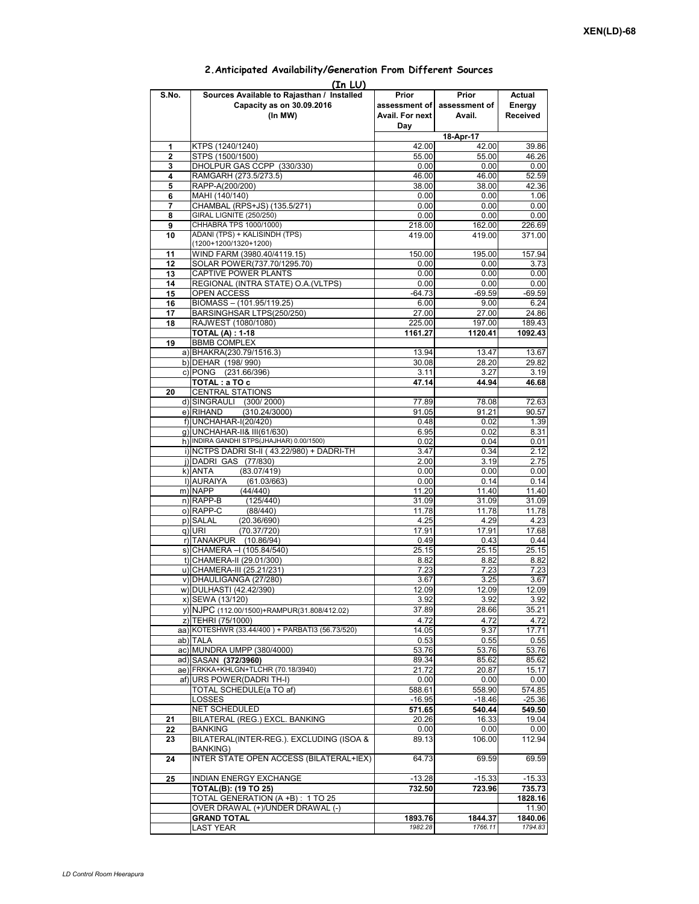## **Prior assessment of Avail. For next Day Prior assessment of Avail. Actual Energy Received**  1 KTPS (1240/1240) 42.00 42.00 39.86<br>
2 STPS (1500/1500) 55.00 55.00 46.26 **2** STPS (1500/1500)<br> **3** DHOLPUR GAS CCPP (330/330) **55.00** 55.00 55.00 6.00 6.00 **3** DHOLPUR GAS CCPP (330/330) 0.00 0.00 0.00 0.00<br>**4** RAMGARH (273 5/273 5) 46 00 46 00 52 59 **4** RAMGARH (273.5/273.5) **46.00** 46.00 46.00 52.59<br>**5** RAPP-A(200/200) 38.00 38.00 42.36 **5** RAPP-A(200/200) **6** MAHI (140/140) 0.00 0.00 1.06<br>**7** CHAMBAL (RPS+JS) (135.5/271) 0.00 0.00 0.00 0.00 **7** CHAMBAL (RPS+JS) (135.5/271) 0.00 0.00 **(In LU) S.No. Sources Available to Rajasthan / Installed Capacity as on 30.09.2016 (In MW) 18-Apr-17 8** GIRAL LIGNITE (250/250) **120 CHHABRA TPS 1000/1000)** 162.00 **0.00 0.00** 0.00<br> **9** CHHABRA TPS 1000/1000) 218.00 162.00 226.69 CHHABRA TPS 1000/1000) 218.00 218.00 162.00<br>ADANI (TPS) + KALISINDH (TPS) 219.00 219.00 419.00 **10** ADANI (TPS) + KALISINDH (TPS) (1200+1200/1320+1200) 371.00 11 WIND FARM (3980.40/4119.15) 150.00 195.00 157.94<br>12 SOLAR POWER(737 70/1295 70) 000 000 13.73 **12** SOLAR POWER(737.70/1295.70) 0.00 0.00 0.00 **13** CAPTIVE POWER PLANTS 0.00 0.00 0.00 **14 REGIONAL (INTRA STATE) O.A. (VLTPS) 15** OPEN ACCESS **15**  $-64.73$   $-69.59$   $-69.59$ **16** BIOMASS – (101.95/119.25) 6.00 9.00 6.24 PO BARSINGHSAR LTPS(250/250)<br>
17.00 27.00 27.00 27.00 225.00 225.00 197.00 **18** RAJWEST (1080/1080) 225.00 197.00 189.43 **TOTAL (A) : 1-18 1161.27 1120.41 1092.43 19** BBMB COMPLEX a) BHAKRA(230.79/1516.3) 13.94 13.94 13.47 13.67<br>b) DFHAR (198/990) 30.08 28.20 29.82 b) DEHAR (198/ 990) c) PONG (231.66/396) 3.11 3.27 3.19<br> **TOTAL**: a TO c 47.14 44.94 46.68 **TOTAL : a TO c 47.14 44.94 46.68 20** CENTRAL STATIONS d) SINGRAULI (300/ 2000) 77.89 78.08 72.63<br>e) RIHAND (310.24/3000) 91.05 91.21 90.57 (310.24/3000) f) UNCHAHAR-I(20/420) 0.48 0.02 1.39<br>a) UNCHAHAR-II& III(61/630) 6.95 0.02 8.31 g) UNCHAHAR-II& III(61/630) h) INDIRA GANDHI STPS(JHAJHAR) 0.00/1500)<br>i) INCTPS DADRI St-II (43.22/980) + DADRI-TH 3.47 0.34 2.12 i) NCTPS DADRI St-II ( 43.22/980) + DADRI-TH j) DADRI GAS (77/830)<br>k) ANTA (83.07/419) 2.00 0.00 0.00 0.00 0.00  $k = \frac{1}{2}$  and  $k = 0.00$ l) AURAIYA (61.03/663) 0.00 0.14 0.14<br>m) NAPP (44/440) 11.20 11.40 11.40 m) NAPP (44/440) 11.20 11.40 11.40 n) RAPP-B (125/440) 31.09 31.09 31.09 o) RAPP-C (88/440) 11.78 11.78 11.78 11.78 11.78 11.78<br>p) SALAL (20.36/690) 4.25 4.29 4.23 p) SALAL (20.36/690) 4.25 4.29 4.23 q)|URI (70.37/720) 17.91 17.91 17.91 17.68<br>n)|TANAKPUR (10.86/94) 0.49 0.43 0.44 r) TANAKPUR (10.86/94) 0.49 s) CHAMERA –I (105.84/540) 25.15 25.15 25.15 25.15 25.15 25.15 25.15 25.15 25.15 25.15 25.15 25.15 25.15 25.15 t) CHAMERA-II (29.01/300) 8.82 8.82 8.82 u) CHAMERA-III (25.21/231) v) DHAULIGANGA (27/280) 3.67 3.67 3.25 3.67 w) DULHASTI (42.42/390) 12.09 12.09 12.09 12.09 12.09<br>x) SEWA (13/120) 3.92 3.92 3.92 x) SEWA (13/120) 3.92 3.92 3.92 y) NJPC (112.00/1500) +RAMPUR(31.808/412.02) 37.89 28.66 35.21<br>z) TEHRI (75/1000) 4.72 4.72 4.72 z) TEHRI (75/1000)  $\begin{array}{|l|l|l|l|l|}\n\hline\n1 & 4.72 & 4.72 & 4.72 \\
\hline\n10 & 4.72 & 4.72 & 4.72 \\
\hline\n11 & 4.72 & 4.72 & 4.72 \\
\hline\n21 & 4.72 & 4.72 & 4.72 \\
\hline\n22 & 4.72 & 4.72 & 4.72 \\
\hline\n23 & 4.72 & 4.72 & 4.72 \\
\hline\n24 & 4.72 & 4.72 & 4.72 \\
\hline\n25 & 4.$ aa) KOTESHWR (33.44/400 ) + PARBATI3 (56.73/520) 14.05 9.53 ab) TALA 0.53 0.55 0.55 ac) MUNDRA UMPP (380/4000) 53.76 53.76 53.76 53.76 53.76 53.76 53.76 53.76 53.76 53.76 53.76 53.76 53.76 53.76 ad) SASAN **(372/3960)** 89.34 85.62 85.62<br>ae) FRKKA+KHLGN+TLCHR (70.18/3940) 21.72 20.87 15.17 ae) FRKKA+KHLGN+TLCHR (70.18/3940) af) URS POWER(DADRI TH-I) 0.00 0.00 0.00 0.00 0.00<br>
TOTAL SCHEDULE(a TO af) 588.61 558.90 574.85 TOTAL SCHEDULE(a TO af) 688.61 LOSSES -16.95 -18.46 -25.36 NET SCHEDULED **571.65 540.44 549.50 21** BILATERAL (REG.) EXCL. BANKING 20.26 16.33 19.04 **22** BANKING 0.00 0.00 0.00 0.00 **23** BILATERAL(INTER-REG.). EXCLUDING (ISOA & BANKING) 89.13 106.00 112.94 **24** INTER STATE OPEN ACCESS (BILATERAL+IEX) 64.73 69.59 69.59 <u>25 INDIAN ENERGY EXCHANGE -13.28 -15.33 -15.33</u><br> **25 TOTAL(B): (19 TO 25)** -25.29 -23.96 735.73 **TOTAL(B): (19 TO 25) 732.50 723.96 735.73** TOTAL GENERATION (A +B) : 1 TO 25 **1828.16**<br>
OVER DRAWAL (+)/UNDER DRAWAL (-) 11.90 OVER DRAWAL (+)/UNDER DRAWAL (-)<br>GRAND TOTAL 1844 37 **GRAND TOTAL 1893.76 1844.37 1840.06 1851.16 1846.06 1851.16 1846.06 1982.28 1766.11 1794.83** LAST YEAR *1982.28 1766.11 1794.83*

## **2.Anticipated Availability/Generation From Different Sources**